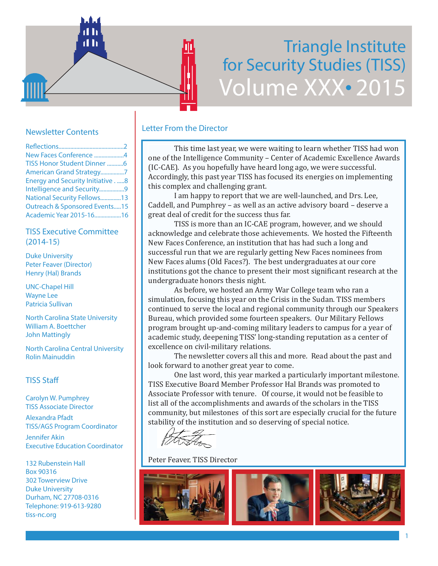# Triangle Institute for Security Studies (TISS) Volume XXX• 2015

# Newsletter Contents

| New Faces Conference 4                 |  |
|----------------------------------------|--|
| TISS Honor Student Dinner 6            |  |
| American Grand Strategy7               |  |
| <b>Energy and Security Initiative8</b> |  |
| Intelligence and Security9             |  |
| National Security Fellows13            |  |
| Outreach & Sponsored Events15          |  |
| Academic Year 2015-1616                |  |

d h

# TISS Executive Committee (2014-15)

Duke University Peter Feaver (Director) Henry (Hal) Brands

UNC-Chapel Hill Wayne Lee Patricia Sullivan

North Carolina State University William A. Boettcher John Mattingly

North Carolina Central University Rolin Mainuddin

# TISS Staff

Carolyn W. Pumphrey TISS Associate Director

Alexandra Pfadt TISS/AGS Program Coordinator

Jennifer Akin Executive Education Coordinator

132 Rubenstein Hall Box 90316 302 Towerview Drive Duke University Durham, NC 27708-0316 Telephone: 919-613-9280 tiss-nc.org

# Letter From the Director

 This time last year, we were waiting to learn whether TISS had won one of the Intelligence Community – Center of Academic Excellence Awards (IC-CAE). As you hopefully have heard long ago, we were successful. Accordingly, this past year TISS has focused its energies on implementing this complex and challenging grant.

 I am happy to report that we are well-launched, and Drs. Lee, Caddell, and Pumphrey – as well as an active advisory board – deserve a great deal of credit for the success thus far.

 TISS is more than an IC-CAE program, however, and we should acknowledge and celebrate those achievements. We hosted the Fifteenth New Faces Conference, an institution that has had such a long and successful run that we are regularly getting New Faces nominees from New Faces alums (Old Faces?). The best undergraduates at our core institutions got the chance to present their most significant research at the undergraduate honors thesis night.

 As before, we hosted an Army War College team who ran a simulation, focusing this year on the Crisis in the Sudan. TISS members continued to serve the local and regional community through our Speakers Bureau, which provided some fourteen speakers. Our Military Fellows program brought up-and-coming military leaders to campus for a year of academic study, deepening TISS' long-standing reputation as a center of excellence on civil-military relations.

 The newsletter covers all this and more. Read about the past and look forward to another great year to come.

 One last word, this year marked a particularly important milestone. TISS Executive Board Member Professor Hal Brands was promoted to Associate Professor with tenure. Of course, it would not be feasible to list all of the accomplishments and awards of the scholars in the TISS community, but milestones of this sort are especially crucial for the future stability of the institution and so deserving of special notice.

Peter Feaver, TISS Director

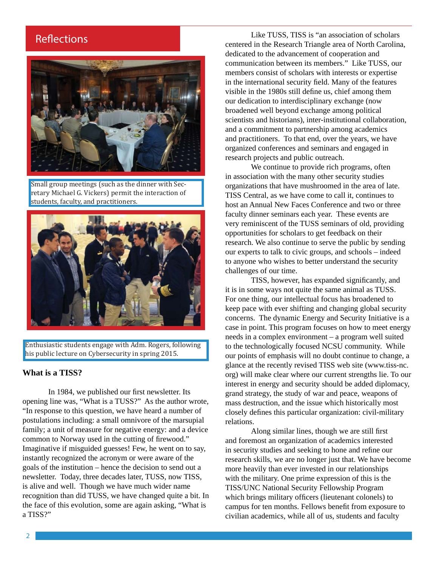# **Reflections**



Small group meetings (such as the dinner with Secretary Michael G. Vickers) permit the interaction of students, faculty, and practitioners.



Enthusiastic students engage with Adm. Rogers, following his public lecture on Cybersecurity in spring 2015.

### **What is a TISS?**

In 1984, we published our first newsletter. Its opening line was, "What is a TUSS?" As the author wrote, "In response to this question, we have heard a number of postulations including: a small omnivore of the marsupial family; a unit of measure for negative energy: and a device common to Norway used in the cutting of firewood." Imaginative if misguided guesses! Few, he went on to say, instantly recognized the acronym or were aware of the goals of the institution – hence the decision to send out a newsletter. Today, three decades later, TUSS, now TISS, is alive and well. Though we have much wider name recognition than did TUSS, we have changed quite a bit. In the face of this evolution, some are again asking, "What is a TISS?"

Like TUSS, TISS is "an association of scholars centered in the Research Triangle area of North Carolina, dedicated to the advancement of cooperation and communication between its members." Like TUSS, our members consist of scholars with interests or expertise in the international security field. Many of the features visible in the 1980s still define us, chief among them our dedication to interdisciplinary exchange (now broadened well beyond exchange among political scientists and historians), inter-institutional collaboration, and a commitment to partnership among academics and practitioners. To that end, over the years, we have organized conferences and seminars and engaged in research projects and public outreach.

We continue to provide rich programs, often in association with the many other security studies organizations that have mushroomed in the area of late. TISS Central, as we have come to call it, continues to host an Annual New Faces Conference and two or three faculty dinner seminars each year. These events are very reminiscent of the TUSS seminars of old, providing opportunities for scholars to get feedback on their research. We also continue to serve the public by sending our experts to talk to civic groups, and schools – indeed to anyone who wishes to better understand the security challenges of our time.

TISS, however, has expanded significantly, and it is in some ways not quite the same animal as TUSS. For one thing, our intellectual focus has broadened to keep pace with ever shifting and changing global security concerns. The dynamic Energy and Security Initiative is a case in point. This program focuses on how to meet energy needs in a complex environment – a program well suited to the technologically focused NCSU community. While our points of emphasis will no doubt continue to change, a glance at the recently revised TISS web site (www.tiss-nc. org) will make clear where our current strengths lie. To our interest in energy and security should be added diplomacy, grand strategy, the study of war and peace, weapons of mass destruction, and the issue which historically most closely defines this particular organization: civil-military relations.

Along similar lines, though we are still first and foremost an organization of academics interested in security studies and seeking to hone and refine our research skills, we are no longer just that. We have become more heavily than ever invested in our relationships with the military. One prime expression of this is the TISS/UNC National Security Fellowship Program which brings military officers (lieutenant colonels) to campus for ten months. Fellows benefit from exposure to civilian academics, while all of us, students and faculty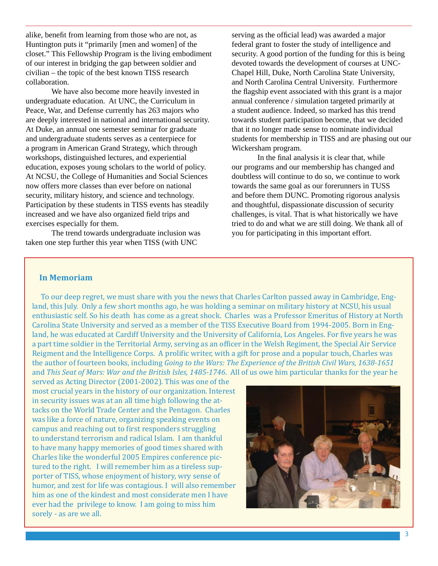alike, benefit from learning from those who are not, as Huntington puts it "primarily [men and women] of the closet." This Fellowship Program is the living embodiment of our interest in bridging the gap between soldier and civilian – the topic of the best known TISS research collaboration.

We have also become more heavily invested in undergraduate education. At UNC, the Curriculum in Peace, War, and Defense currently has 263 majors who are deeply interested in national and international security. At Duke, an annual one semester seminar for graduate and undergraduate students serves as a centerpiece for a program in American Grand Strategy, which through workshops, distinguished lectures, and experiential education, exposes young scholars to the world of policy. At NCSU, the College of Humanities and Social Sciences now offers more classes than ever before on national security, military history, and science and technology. Participation by these students in TISS events has steadily increased and we have also organized field trips and exercises especially for them.

The trend towards undergraduate inclusion was taken one step further this year when TISS (with UNC

serving as the official lead) was awarded a major federal grant to foster the study of intelligence and security. A good portion of the funding for this is being devoted towards the development of courses at UNC-Chapel Hill, Duke, North Carolina State University, and North Carolina Central University. Furthermore the flagship event associated with this grant is a major annual conference / simulation targeted primarily at a student audience. Indeed, so marked has this trend towards student participation become, that we decided that it no longer made sense to nominate individual students for membership in TISS and are phasing out our Wickersham program.

In the final analysis it is clear that, while our programs and our membership has changed and doubtless will continue to do so, we continue to work towards the same goal as our forerunners in TUSS and before them DUNC. Promoting rigorous analysis and thoughtful, dispassionate discussion of security challenges, is vital. That is what historically we have tried to do and what we are still doing. We thank all of you for participating in this important effort.

#### **In Memoriam**

 To our deep regret, we must share with you the news that Charles Carlton passed away in Cambridge, England, this July. Only a few short months ago, he was holding a seminar on military history at NCSU, his usual enthusiastic self. So his death has come as a great shock. Charles was a Professor Emeritus of History at North Carolina State University and served as a member of the TISS Executive Board from 1994-2005. Born in England, he was educated at Cardiff University and the University of California, Los Angeles. For five years he was a part time soldier in the Territorial Army, serving as an officer in the Welsh Regiment, the Special Air Service Reigment and the Intelligence Corps. A prolific writer, with a gift for prose and a popular touch, Charles was the author of fourteen books, including *Going to the Wars: The Experience of the British Civil Wars, 1638-1651*  and *This Seat of Mars: War and the British Isles, 1485-1746*. All of us owe him particular thanks for the year he

served as Acting Director (2001-2002). This was one of the most crucial years in the history of our organization. Interest in security issues was at an all time high following the attacks on the World Trade Center and the Pentagon. Charles was like a force of nature, organizing speaking events on campus and reaching out to first responders struggling to understand terrorism and radical Islam. I am thankful to have many happy memories of good times shared with Charles like the wonderful 2005 Empires conference pictured to the right. I will remember him as a tireless supporter of TISS, whose enjoyment of history, wry sense of humor, and zest for life was contagious. I will also remember him as one of the kindest and most considerate men I have ever had the privilege to know. I am going to miss him sorely - as are we all.

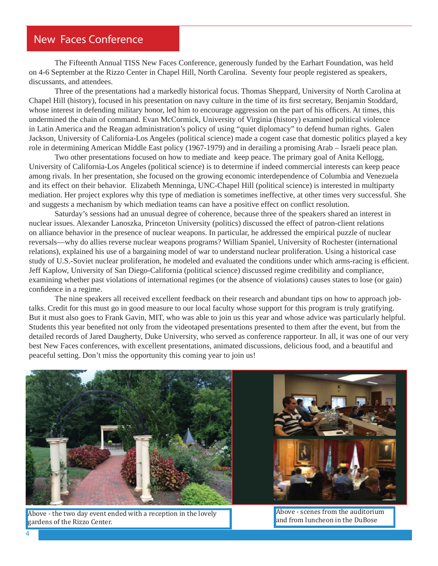# New Faces Conference

The Fifteenth Annual TISS New Faces Conference, generously funded by the Earhart Foundation, was held on 4-6 September at the Rizzo Center in Chapel Hill, North Carolina. Seventy four people registered as speakers, discussants, and attendees.

Three of the presentations had a markedly historical focus. Thomas Sheppard, University of North Carolina at Chapel Hill (history), focused in his presentation on navy culture in the time of its first secretary, Benjamin Stoddard, whose interest in defending military honor, led him to encourage aggression on the part of his officers. At times, this undermined the chain of command. Evan McCormick, University of Virginia (history) examined political violence in Latin America and the Reagan administration's policy of using "quiet diplomacy" to defend human rights. Galen Jackson, University of California-Los Angeles (political science) made a cogent case that domestic politics played a key role in determining American Middle East policy (1967-1979) and in derailing a promising Arab – Israeli peace plan.

Two other presentations focused on how to mediate and keep peace. The primary goal of Anita Kellogg, University of California-Los Angeles (political science) is to determine if indeed commercial interests can keep peace among rivals. In her presentation, she focused on the growing economic interdependence of Columbia and Venezuela and its effect on their behavior. Elizabeth Menninga, UNC-Chapel Hill (political science) is interested in multiparty mediation. Her project explores why this type of mediation is sometimes ineffective, at other times very successful. She and suggests a mechanism by which mediation teams can have a positive effect on conflict resolution.

Saturday's sessions had an unusual degree of coherence, because three of the speakers shared an interest in nuclear issues. Alexander Lanoszka, Princeton University (politics) discussed the effect of patron-client relations on alliance behavior in the presence of nuclear weapons. In particular, he addressed the empirical puzzle of nuclear reversals—why do allies reverse nuclear weapons programs? William Spaniel, University of Rochester (international relations), explained his use of a bargaining model of war to understand nuclear proliferation. Using a historical case study of U.S.-Soviet nuclear proliferation, he modeled and evaluated the conditions under which arms-racing is efficient. Jeff Kaplow, University of San Diego-California (political science) discussed regime credibility and compliance, examining whether past violations of international regimes (or the absence of violations) causes states to lose (or gain) confidence in a regime.

The nine speakers all received excellent feedback on their research and abundant tips on how to approach jobtalks. Credit for this must go in good measure to our local faculty whose support for this program is truly gratifying. But it must also goes to Frank Gavin, MIT, who was able to join us this year and whose advice was particularly helpful. Students this year benefited not only from the videotaped presentations presented to them after the event, but from the detailed records of Jared Daugherty, Duke University, who served as conference rapporteur. In all, it was one of our very best New Faces conferences, with excellent presentations, animated discussions, delicious food, and a beautiful and peaceful setting. Don't miss the opportunity this coming year to join us!



Above - the two day event ended with a reception in the lovely gardens of the Rizzo Center.

Above - scenes from the auditorium and from luncheon in the DuBose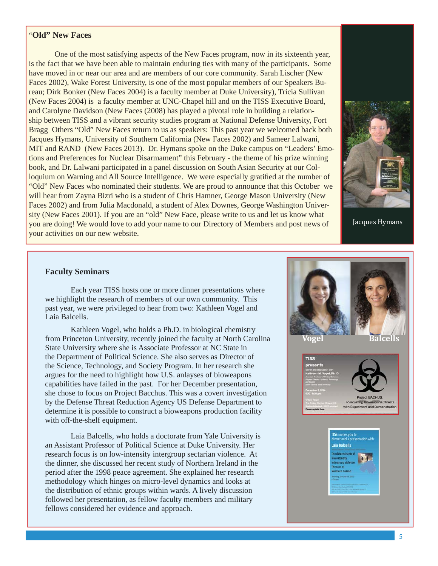## "**Old" New Faces**

 One of the most satisfying aspects of the New Faces program, now in its sixteenth year, is the fact that we have been able to maintain enduring ties with many of the participants. Some have moved in or near our area and are members of our core community. Sarah Lischer (New Faces 2002), Wake Forest University, is one of the most popular members of our Speakers Bureau; Dirk Bonker (New Faces 2004) is a faculty member at Duke University), Tricia Sullivan (New Faces 2004) is a faculty member at UNC-Chapel hill and on the TISS Executive Board, and Carolyne Davidson (New Faces (2008) has played a pivotal role in building a relationship between TISS and a vibrant security studies program at National Defense University, Fort Bragg Others "Old" New Faces return to us as speakers: This past year we welcomed back both Jacques Hymans, University of Southern California (New Faces 2002) and Sameer Lalwani, MIT and RAND (New Faces 2013). Dr. Hymans spoke on the Duke campus on "Leaders' Emotions and Preferences for Nuclear Disarmament" this February - the theme of his prize winning book, and Dr. Lalwani participated in a panel discussion on South Asian Security at our Colloquium on Warning and All Source Intelligence. We were especially gratified at the number of "Old" New Faces who nominated their students. We are proud to announce that this October we will hear from Zayna Bizri who is a student of Chris Hamner, George Mason University (New Faces 2002) and from Julia Macdonald, a student of Alex Downes, George Washington University (New Faces 2001). If you are an "old" New Face, please write to us and let us know what you are doing! We would love to add your name to our Directory of Members and post news of your activities on our new website.



Jacques Hymans

#### **Faculty Seminars**

 Each year TISS hosts one or more dinner presentations where we highlight the research of members of our own community. This past year, we were privileged to hear from two: Kathleen Vogel and Laia Balcells.

 Kathleen Vogel, who holds a Ph.D. in biological chemistry from Princeton University, recently joined the faculty at North Carolina State University where she is Associate Professor at NC State in the Department of Political Science. She also serves as Director of the Science, Technology, and Society Program. In her research she argues for the need to highlight how U.S. anlayses of bioweapons capabilities have failed in the past. For her December presentation, she chose to focus on Project Bacchus. This was a covert investigation by the Defense Threat Reduction Agency US Defense Department to determine it is possible to construct a bioweapons production facility with off-the-shelf equipment.

 Laia Balcells, who holds a doctorate from Yale University is an Assistant Professor of Political Science at Duke University. Her research focus is on low-intensity intergroup sectarian violence. At the dinner, she discussed her recent study of Northern Ireland in the period after the 1998 peace agreement. She explained her research methodology which hinges on micro-level dynamics and looks at the distribution of ethnic groups within wards. A lively discussion followed her presentation, as fellow faculty members and military fellows considered her evidence and approach.

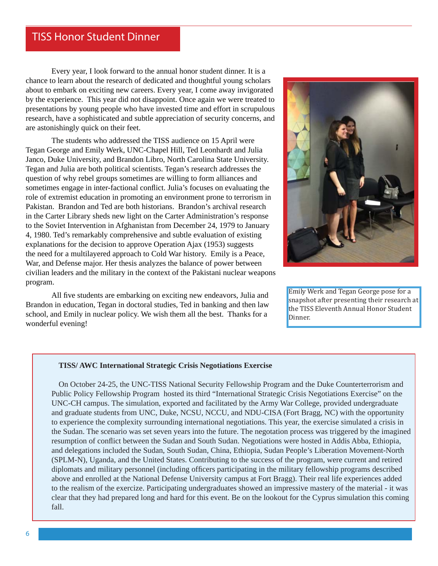# TISS Honor Student Dinner

 Every year, I look forward to the annual honor student dinner. It is a chance to learn about the research of dedicated and thoughtful young scholars about to embark on exciting new careers. Every year, I come away invigorated by the experience. This year did not disappoint. Once again we were treated to presentations by young people who have invested time and effort in scrupulous research, have a sophisticated and subtle appreciation of security concerns, and are astonishingly quick on their feet.

 The students who addressed the TISS audience on 15 April were Tegan George and Emily Werk, UNC-Chapel Hill, Ted Leonhardt and Julia Janco, Duke University, and Brandon Libro, North Carolina State University. Tegan and Julia are both political scientists. Tegan's research addresses the question of why rebel groups sometimes are willing to form alliances and sometimes engage in inter-factional conflict. Julia's focuses on evaluating the role of extremist education in promoting an environment prone to terrorism in Pakistan. Brandon and Ted are both historians. Brandon's archival research in the Carter Library sheds new light on the Carter Administration's response to the Soviet Intervention in Afghanistan from December 24, 1979 to January 4, 1980. Ted's remarkably comprehensive and subtle evaluation of existing explanations for the decision to approve Operation Ajax (1953) suggests the need for a multilayered approach to Cold War history. Emily is a Peace, War, and Defense major. Her thesis analyzes the balance of power between civilian leaders and the military in the context of the Pakistani nuclear weapons program.

All five students are embarking on exciting new endeavors, Julia and Brandon in education, Tegan in doctoral studies, Ted in banking and then law school, and Emily in nuclear policy. We wish them all the best. Thanks for a wonderful evening!



Emily Werk and Tegan George pose for a snapshot after presenting their research at the TISS Eleventh Annual Honor Student **Dinner** 

#### **TISS/ AWC International Strategic Crisis Negotiations Exercise**

On October 24-25, the UNC-TISS National Security Fellowship Program and the Duke Counterterrorism and Public Policy Fellowship Program hosted its third "International Strategic Crisis Negotiations Exercise" on the UNC-CH campus. The simulation, exported and facilitated by the Army War College, provided undergraduate and graduate students from UNC, Duke, NCSU, NCCU, and NDU-CISA (Fort Bragg, NC) with the opportunity to experience the complexity surrounding international negotiations. This year, the exercise simulated a crisis in the Sudan. The scenario was set seven years into the future. The negotation process was triggered by the imagined resumption of conflict between the Sudan and South Sudan. Negotiations were hosted in Addis Abba, Ethiopia, and delegations included the Sudan, South Sudan, China, Ethiopia, Sudan People's Liberation Movement-North (SPLM-N), Uganda, and the United States. Contributing to the success of the program, were current and retired diplomats and military personnel (including officers participating in the military fellowship programs described above and enrolled at the National Defense University campus at Fort Bragg). Their real life experiences added to the realism of the exercize. Participating undergraduates showed an impressive mastery of the material - it was clear that they had prepared long and hard for this event. Be on the lookout for the Cyprus simulation this coming fall.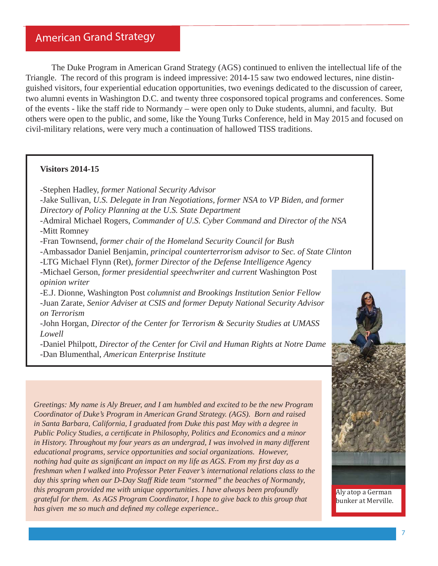The Duke Program in American Grand Strategy (AGS) continued to enliven the intellectual life of the Triangle. The record of this program is indeed impressive: 2014-15 saw two endowed lectures, nine distinguished visitors, four experiential education opportunities, two evenings dedicated to the discussion of career, two alumni events in Washington D.C. and twenty three cosponsored topical programs and conferences. Some of the events - like the staff ride to Normandy – were open only to Duke students, alumni, and faculty. But others were open to the public, and some, like the Young Turks Conference, held in May 2015 and focused on civil-military relations, were very much a continuation of hallowed TISS traditions.

## **Visitors 2014-15**

- Stephen Hadley, *former National Security Advisor* -Jake Sullivan, *U.S. Delegate in Iran Negotiations, former NSA to VP Biden, and former Directory of Policy Planning at the U.S. State Department* -Admiral Michael Rogers, *Commander of U.S. Cyber Command and Director of the NSA* -Mitt Romney -Fran Townsend, *former chair of the Homeland Security Council for Bush* -Ambassador Daniel Benjamin, *principal counterterrorism advisor to Sec. of State Clinton* -LTG Michael Flynn (Ret), *former Director of the Defense Intelligence Agency*  -Michael Gerson, *former presidential speechwriter and current* Washington Post *opinion writer* -E.J. Dionne, Washington Post *columnist and Brookings Institution Senior Fellow* -Juan Zarate*, Senior Adviser at CSIS and former Deputy National Security Advisor on Terrorism* -John Horgan, *Director of the Center for Terrorism & Security Studies at UMASS Lowell* -Daniel Philpott, *Director of the Center for Civil and Human Rights at Notre Dame*

-Dan Blumenthal, *American Enterprise Institute*

*Greetings: My name is Aly Breuer, and I am humbled and excited to be the new Program Coordinator of Duke's Program in American Grand Strategy. (AGS). Born and raised in Santa Barbara, California, I graduated from Duke this past May with a degree in Public Policy Studies, a certificate in Philosophy, Politics and Economics and a minor* 



*in History. Throughout my four years as an undergrad, I was involved in many different educational programs, service opportunities and social organizations. However, nothing had quite as significant an impact on my life as AGS. From my first day as a freshman when I walked into Professor Peter Feaver's international relations class to the day this spring when our D-Day Staff Ride team "stormed" the beaches of Normandy, this program provided me with unique opportunities. I have always been profoundly grateful for them. As AGS Program Coordinator, I hope to give back to this group that has given me so much and defined my college experience..* 

Aly atop a German bunker at Merville.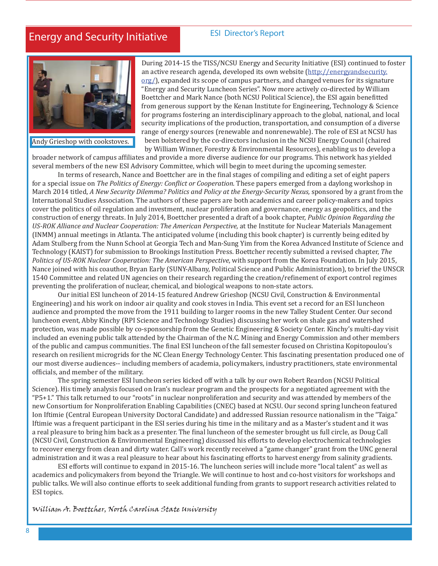# Energy and Security Initiative

## ESI Director's Report



Andy Grieshop with cookstoves.

During 2014-15 the TISS/NCSU Energy and Security Initiative (ESI) continued to foster an active research agenda, developed its own website (http://energyandsecurity. org/), expanded its scope of campus partners, and changed venues for its signature "Energy and Security Luncheon Series". Now more actively co-directed by William Boettcher and Mark Nance (both NCSU Political Science), the ESI again benefitted from generous support by the Kenan Institute for Engineering, Technology & Science for programs fostering an interdisciplinary approach to the global, national, and local security implications of the production, transportation, and consumption of a diverse range of energy sources (renewable and nonrenewable). The role of ESI at NCSU has been bolstered by the co-directors inclusion in the NCSU Energy Council (chaired by William Winner, Forestry & Environmental Resources), enabling us to develop a

broader network of campus affiliates and provide a more diverse audience for our programs. This network has yielded several members of the new ESI Advisory Committee, which will begin to meet during the upcoming semester.

In terms of research, Nance and Boettcher are in the final stages of compiling and editing a set of eight papers for a special issue on *The Politics of Energy: Conϔlict or Cooperation*. These papers emerged from a daylong workshop in March 2014 titled, *A New Security Dilemma? Politics and Policy at the Energy-Security Nexus,* sponsored by a grant from the International Studies Association. The authors of these papers are both academics and career policy-makers and topics cover the politics of oil regulation and investment, nuclear proliferation and governance, energy as geopolitics, and the construction of energy threats. In July 2014, Boettcher presented a draft of a book chapter, *Public Opinion Regarding the US-ROK Alliance and Nuclear Cooperation: The American Perspective,* at the Institute for Nuclear Materials Management (INMM) annual meetings in Atlanta. The anticipated volume (including this book chapter) is currently being edited by Adam Stulberg from the Nunn School at Georgia Tech and Man-Sung Yim from the Korea Advanced Institute of Science and Technology (KAIST) for submission to Brookings Institution Press. Boettcher recently submitted a revised chapter, *The Politics of US-ROK Nuclear Cooperation: The American Perspective*, with support from the Korea Foundation. In July 2015, Nance joined with his coauthor, Bryan Early (SUNY-Albany, Political Science and Public Administration), to brief the UNSCR 1540 Committee and related UN agencies on their research regarding the creation/refinement of export control regimes preventing the proliferation of nuclear, chemical, and biological weapons to non-state actors.

 Our initial ESI luncheon of 2014-15 featured Andrew Grieshop (NCSU Civil, Construction & Environmental Engineering) and his work on indoor air quality and cook stoves in India. This event set a record for an ESI luncheon audience and prompted the move from the 1911 building to larger rooms in the new Talley Student Center. Our second luncheon event, Abby Kinchy (RPI Science and Technology Studies) discussing her work on shale gas and watershed protection, was made possible by co-sponsorship from the Genetic Engineering & Society Center. Kinchy's multi-day visit included an evening public talk attended by the Chairman of the N.C. Mining and Energy Commission and other members of the public and campus communities. The final ESI luncheon of the fall semester focused on Christina Kopitopoulou's research on resilient microgrids for the NC Clean Energy Technology Center. This fascinating presentation produced one of our most diverse audiences-- including members of academia, policymakers, industry practitioners, state environmental officials, and member of the military.

 The spring semester ESI luncheon series kicked off with a talk by our own Robert Reardon (NCSU Political Science). His timely analysis focused on Iran's nuclear program and the prospects for a negotiated agreement with the "P5+1." This talk returned to our "roots" in nuclear nonproliferation and security and was attended by members of the new Consortium for Nonproliferation Enabling Capabilities (CNEC) based at NCSU. Our second spring luncheon featured Ion Iftimie (Central European University Doctoral Candidate) and addressed Russian resource nationalism in the "Taiga." Iftimie was a frequent participant in the ESI series during his time in the military and as a Master's student and it was a real pleasure to bring him back as a presenter. The final luncheon of the semester brought us full circle, as Doug Call (NCSU Civil, Construction & Environmental Engineering) discussed his efforts to develop electrochemical technologies to recover energy from clean and dirty water. Call's work recently received a "game changer" grant from the UNC general administration and it was a real pleasure to hear about his fascinating efforts to harvest energy from salinity gradients.

 ESI efforts will continue to expand in 2015-16. The luncheon series will include more "local talent" as well as academics and policymakers from beyond the Triangle. We will continue to host and co-host visitors for workshops and public talks. We will also continue efforts to seek additional funding from grants to support research activities related to ESI topics.

William A. Boettcher, North Carolina State University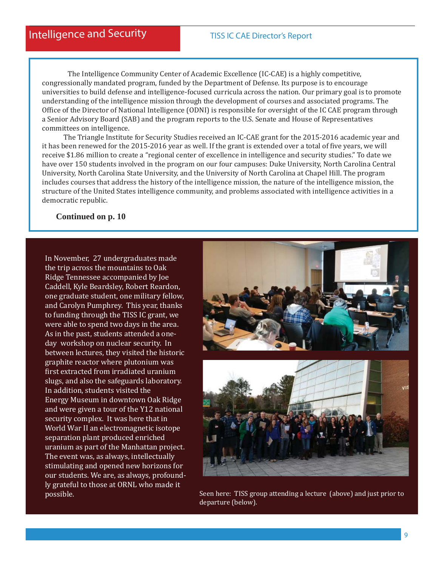The Intelligence Community Center of Academic Excellence (IC-CAE) is a highly competitive, congressionally mandated program, funded by the Department of Defense. Its purpose is to encourage universities to build defense and intelligence-focused curricula across the nation. Our primary goal is to promote understanding of the intelligence mission through the development of courses and associated programs. The Office of the Director of National Intelligence (ODNI) is responsible for oversight of the IC CAE program through a Senior Advisory Board (SAB) and the program reports to the U.S. Senate and House of Representatives committees on intelligence.

 The Triangle Institute for Security Studies received an IC-CAE grant for the 2015-2016 academic year and it has been renewed for the 2015-2016 year as well. If the grant is extended over a total of five years, we will receive \$1.86 million to create a "regional center of excellence in intelligence and security studies." To date we have over 150 students involved in the program on our four campuses: Duke University, North Carolina Central University, North Carolina State University, and the University of North Carolina at Chapel Hill. The program includes courses that address the history of the intelligence mission, the nature of the intelligence mission, the structure of the United States intelligence community, and problems associated with intelligence activities in a democratic republic.

 **Continued on p. 10**

In November, 27 undergraduates made the trip across the mountains to Oak Ridge Tennessee accompanied by Joe Caddell, Kyle Beardsley, Robert Reardon, one graduate student, one military fellow, and Carolyn Pumphrey. This year, thanks to funding through the TISS IC grant, we were able to spend two days in the area. As in the past, students attended a oneday workshop on nuclear security. In between lectures, they visited the historic graphite reactor where plutonium was first extracted from irradiated uranium slugs, and also the safeguards laboratory. In addition, students visited the Energy Museum in downtown Oak Ridge and were given a tour of the Y12 national security complex. It was here that in World War II an electromagnetic isotope separation plant produced enriched uranium as part of the Manhattan project. The event was, as always, intellectually stimulating and opened new horizons for our students. We are, as always, profoundly grateful to those at ORNL who made it



possible. Seen here: TISS group attending a lecture (above) and just prior to possible. departure (below).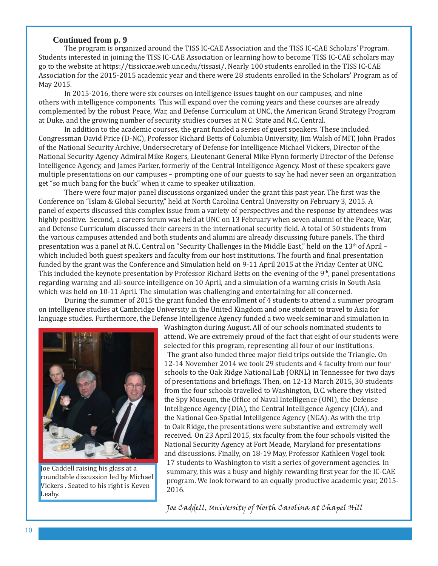#### **Continued from p. 9**

 The program is organized around the TISS IC-CAE Association and the TISS IC-CAE Scholars' Program. Students interested in joining the TISS IC-CAE Association or learning how to become TISS IC-CAE scholars may go to the website at https://tissiccae.web.unc.edu/tissasi/. Nearly 100 students enrolled in the TISS IC-CAE Association for the 2015-2015 academic year and there were 28 students enrolled in the Scholars' Program as of May 2015.

In 2015-2016, there were six courses on intelligence issues taught on our campuses, and nine others with intelligence components. This will expand over the coming years and these courses are already complemented by the robust Peace, War, and Defense Curriculum at UNC, the American Grand Strategy Program at Duke, and the growing number of security studies courses at N.C. State and N.C. Central.

 In addition to the academic courses, the grant funded a series of guest speakers. These included Congressman David Price (D-NC), Professor Richard Betts of Columbia University, Jim Walsh of MIT, John Prados of the National Security Archive, Undersecretary of Defense for Intelligence Michael Vickers, Director of the National Security Agency Admiral Mike Rogers, Lieutenant General Mike Flynn formerly Director of the Defense Intelligence Agency, and James Parker, formerly of the Central Intelligence Agency. Most of these speakers gave multiple presentations on our campuses – prompting one of our guests to say he had never seen an organization get "so much bang for the buck" when it came to speaker utilization.

There were four major panel discussions organized under the grant this past year. The first was the Conference on "Islam & Global Security," held at North Carolina Central University on February 3, 2015. A panel of experts discussed this complex issue from a variety of perspectives and the response by attendees was highly positive. Second, a careers forum was held at UNC on 13 February when seven alumni of the Peace, War, and Defense Curriculum discussed their careers in the international security field. A total of 50 students from the various campuses attended and both students and alumni are already discussing future panels. The third presentation was a panel at N.C. Central on "Security Challenges in the Middle East," held on the 13th of April – which included both guest speakers and faculty from our host institutions. The fourth and final presentation funded by the grant was the Conference and Simulation held on 9-11 April 2015 at the Friday Center at UNC. This included the keynote presentation by Professor Richard Betts on the evening of the 9th, panel presentations regarding warning and all-source intelligence on 10 April, and a simulation of a warning crisis in South Asia which was held on 10-11 April. The simulation was challenging and entertaining for all concerned.

 During the summer of 2015 the grant funded the enrollment of 4 students to attend a summer program on intelligence studies at Cambridge University in the United Kingdom and one student to travel to Asia for language studies. Furthermore, the Defense Intelligence Agency funded a two week seminar and simulation in



Joe Caddell raising his glass at a roundtable discussion led by Michael Vickers . Seated to his right is Keven Leahy.

Washington during August. All of our schools nominated students to attend. We are extremely proud of the fact that eight of our students were selected for this program, representing all four of our institutions. The grant also funded three major field trips outside the Triangle. On 12-14 November 2014 we took 29 students and 4 faculty from our four schools to the Oak Ridge National Lab (ORNL) in Tennessee for two days of presentations and briefings. Then, on 12-13 March 2015, 30 students from the four schools travelled to Washington, D.C. where they visited the Spy Museum, the Office of Naval Intelligence (ONI), the Defense Intelligence Agency (DIA), the Central Intelligence Agency (CIA), and the National Geo-Spatial Intelligence Agency (NGA). As with the trip to Oak Ridge, the presentations were substantive and extremely well received. On 23 April 2015, six faculty from the four schools visited the National Security Agency at Fort Meade, Maryland for presentations and discussions. Finally, on 18-19 May, Professor Kathleen Vogel took 17 students to Washington to visit a series of government agencies. In summary, this was a busy and highly rewarding first year for the IC-CAE program. We look forward to an equally productive academic year, 2015- 2016.

Joe Caddell, University of North Carolina at Chapel Hill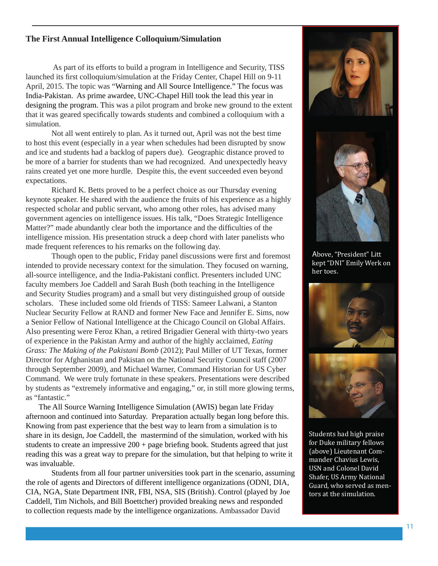## **The First Annual Intelligence Colloquium/Simulation**

As part of its efforts to build a program in Intelligence and Security, TISS launched its first colloquium/simulation at the Friday Center, Chapel Hill on 9-11 April, 2015. The topic was "Warning and All Source Intelligence." The focus was India-Pakistan. As prime awardee, UNC-Chapel Hill took the lead this year in designing the program. This was a pilot program and broke new ground to the extent that it was geared specifically towards students and combined a colloquium with a simulation.

Not all went entirely to plan. As it turned out, April was not the best time to host this event (especially in a year when schedules had been disrupted by snow and ice and students had a backlog of papers due). Geographic distance proved to be more of a barrier for students than we had recognized. And unexpectedly heavy rains created yet one more hurdle. Despite this, the event succeeded even beyond expectations.

Richard K. Betts proved to be a perfect choice as our Thursday evening keynote speaker. He shared with the audience the fruits of his experience as a highly respected scholar and public servant, who among other roles, has advised many government agencies on intelligence issues. His talk, "Does Strategic Intelligence Matter?" made abundantly clear both the importance and the difficulties of the intelligence mission. His presentation struck a deep chord with later panelists who made frequent references to his remarks on the following day.

Though open to the public, Friday panel discussions were first and foremost intended to provide necessary context for the simulation. They focused on warning, all-source intelligence, and the India-Pakistani conflict. Presenters included UNC faculty members Joe Caddell and Sarah Bush (both teaching in the Intelligence and Security Studies program) and a small but very distinguished group of outside scholars. These included some old friends of TISS: Sameer Lalwani, a Stanton Nuclear Security Fellow at RAND and former New Face and Jennifer E. Sims, now a Senior Fellow of National Intelligence at the Chicago Council on Global Affairs. Also presenting were Feroz Khan, a retired Brigadier General with thirty-two years of experience in the Pakistan Army and author of the highly acclaimed, *Eating Grass: The Making of the Pakistani Bomb* (2012); Paul Miller of UT Texas, former Director for Afghanistan and Pakistan on the National Security Council staff (2007 through September 2009), and Michael Warner, Command Historian for US Cyber Command. We were truly fortunate in these speakers. Presentations were described by students as "extremely informative and engaging," or, in still more glowing terms, as "fantastic."

The All Source Warning Intelligence Simulation (AWIS) began late Friday afternoon and continued into Saturday. Preparation actually began long before this. Knowing from past experience that the best way to learn from a simulation is to share in its design, Joe Caddell, the mastermind of the simulation, worked with his students to create an impressive  $200 + page$  briefing book. Students agreed that just reading this was a great way to prepare for the simulation, but that helping to write it was invaluable.

Students from all four partner universities took part in the scenario, assuming the role of agents and Directors of different intelligence organizations (ODNI, DIA, CIA, NGA, State Department INR, FBI, NSA, SIS (British). Control (played by Joe Caddell, Tim Nichols, and Bill Boettcher) provided breaking news and responded to collection requests made by the intelligence organizations. Ambassador David



Above, "President" Litt kept "DNI" Emily Werk on her toes.





Students had high praise for Duke military fellows (above) Lieutenant Commander Chavius Lewis, USN and Colonel David Shafer, US Army National Guard, who served as mentors at the simulation.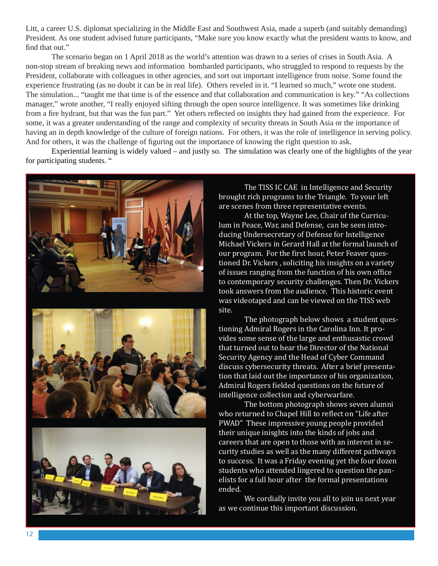Litt, a career U.S. diplomat specializing in the Middle East and Southwest Asia, made a superb (and suitably demanding) President. As one student advised future participants, "Make sure you know exactly what the president wants to know, and find that out."

 The scenario began on 1 April 2018 as the world's attention was drawn to a series of crises in South Asia. A non-stop stream of breaking news and information bombarded participants, who struggled to respond to requests by the President, collaborate with colleagues in other agencies, and sort out important intelligence from noise. Some found the experience frustrating (as no doubt it can be in real life). Others reveled in it. "I learned so much," wrote one student. The simulation... "taught me that time is of the essence and that collaboration and communication is key." "As collections manager," wrote another, "I really enjoyed sifting through the open source intelligence. It was sometimes like drinking from a fire hydrant, but that was the fun part." Yet others reflected on insights they had gained from the experience. For some, it was a greater understanding of the range and complexity of security threats in South Asia or the importance of having an in depth knowledge of the culture of foreign nations. For others, it was the role of intelligence in serving policy. And for others, it was the challenge of figuring out the importance of knowing the right question to ask.

 Experiential learning is widely valued – and justly so. The simulation was clearly one of the highlights of the year for participating students. "



 The TISS IC CAE in Intelligence and Security brought rich programs to the Triangle. To your left are scenes from three representative events.

 At the top, Wayne Lee, Chair of the Curriculum in Peace, War, and Defense, can be seen introducing Undersecretary of Defense for Intelligence Michael Vickers in Gerard Hall at the formal launch of our program. For the first hour, Peter Feaver questioned Dr. Vickers , soliciting his insights on a variety of issues ranging from the function of his own office to contemporary security challenges. Then Dr. Vickers took answers from the audience. This historic event was videotaped and can be viewed on the TISS web site.

 The photograph below shows a student questioning Admiral Rogers in the Carolina Inn. It provides some sense of the large and enthusastic crowd that turned out to hear the Director of the National Security Agency and the Head of Cyber Command discuss cybersecurity threats. After a brief presentation that laid out the importance of his organization, Admiral Rogers fielded questions on the future of intelligence collection and cyberwarfare.

 The bottom photograph shows seven alumni who returned to Chapel Hill to reflect on "Life after PWAD" These impressive young people provided their unique inisghts into the kinds of jobs and careers that are open to those with an interest in security studies as well as the many different pathways to success. It was a Friday evening yet the four dozen students who attended lingered to question the panelists for a full hour after the formal presentations ended.

 We cordially invite you all to join us next year as we continue this important discussion.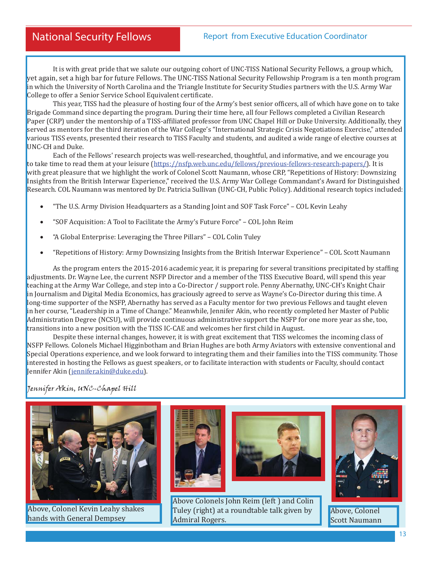It is with great pride that we salute our outgoing cohort of UNC-TISS National Security Fellows, a group which, yet again, set a high bar for future Fellows. The UNC-TISS National Security Fellowship Program is a ten month program in which the University of North Carolina and the Triangle Institute for Security Studies partners with the U.S. Army War College to offer a Senior Service School Equivalent certificate.

This year, TISS had the pleasure of hosting four of the Army's best senior officers, all of which have gone on to take Brigade Command since departing the program. During their time here, all four Fellows completed a Civilian Research Paper (CRP) under the mentorship of a TISS-affiliated professor from UNC Chapel Hill or Duke University. Additionally, they served as mentors for the third iteration of the War College's "International Strategic Crisis Negotiations Exercise," attended various TISS events, presented their research to TISS Faculty and students, and audited a wide range of elective courses at UNC-CH and Duke.

 Each of the Fellows' research projects was well-researched, thoughtful, and informative, and we encourage you to take time to read them at your leisure (https://nsfp.web.unc.edu/fellows/previous-fellows-research-papers/). It is with great pleasure that we highlight the work of Colonel Scott Naumann, whose CRP, "Repetitions of History: Downsizing Insights from the British Interwar Experience," received the U.S. Army War College Commandant's Award for Distinguished Research. COL Naumann was mentored by Dr. Patricia Sullivan (UNC-CH, Public Policy). Additional research topics included:

- "The U.S. Army Division Headquarters as a Standing Joint and SOF Task Force" COL Kevin Leahy
- "SOF Acquisition: A Tool to Facilitate the Army's Future Force" COL John Reim
- "A Global Enterprise: Leveraging the Three Pillars" COL Colin Tuley
- "Repetitions of History: Army Downsizing Insights from the British Interwar Experience" COL Scott Naumann

As the program enters the 2015-2016 academic year, it is preparing for several transitions precipitated by staffing adjustments. Dr. Wayne Lee, the current NSFP Director and a member of the TISS Executive Board, will spend this year teaching at the Army War College, and step into a Co-Director / support role. Penny Abernathy, UNC-CH's Knight Chair in Journalism and Digital Media Economics, has graciously agreed to serve as Wayne's Co-Director during this time. A long-time supporter of the NSFP, Abernathy has served as a Faculty mentor for two previous Fellows and taught eleven in her course, "Leadership in a Time of Change." Meanwhile, Jennifer Akin, who recently completed her Master of Public Administration Degree (NCSU), will provide continuous administrative support the NSFP for one more year as she, too, transitions into a new position with the TISS IC-CAE and welcomes her first child in August.

 Despite these internal changes, however, it is with great excitement that TISS welcomes the incoming class of NSFP Fellows. Colonels Michael Higginbotham and Brian Hughes are both Army Aviators with extensive conventional and Special Operations experience, and we look forward to integrating them and their families into the TISS community. Those interested in hosting the Fellows as guest speakers, or to facilitate interaction with students or Faculty, should contact Jennifer Akin (jennifer.akin@duke.edu).

Jennifer Akin, UNC-Chapel Hill



Above, Colonel Kevin Leahy shakes hands with General Dempsey





Above Colonels John Reim (left ) and Colin Tuley (right) at a roundtable talk given by Admiral Rogers.



Above, Colonel Scott Naumann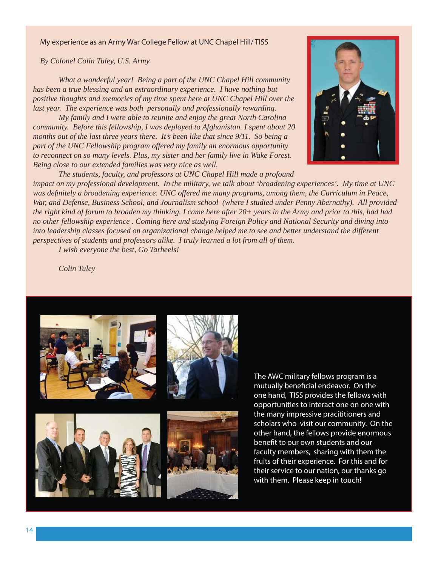#### My experience as an Army War College Fellow at UNC Chapel Hill/ TISS

*By Colonel Colin Tuley, U.S. Army*

*What a wonderful year! Being a part of the UNC Chapel Hill community has been a true blessing and an extraordinary experience. I have nothing but positive thoughts and memories of my time spent here at UNC Chapel Hill over the last year. The experience was both personally and professionally rewarding.* 

 *My family and I were able to reunite and enjoy the great North Carolina community. Before this fellowship, I was deployed to Afghanistan. I spent about 20 months out of the last three years there. It's been like that since 9/11. So being a part of the UNC Fellowship program offered my family an enormous opportunity to reconnect on so many levels. Plus, my sister and her family live in Wake Forest. Being close to our extended families was very nice as well.*

 *The students, faculty, and professors at UNC Chapel Hill made a profound* 

*impact on my professional development. In the military, we talk about 'broadening experiences'. My time at UNC*  was definitely a broadening experience. UNC offered me many programs, among them, the Curriculum in Peace, *War, and Defense, Business School, and Journalism school (where I studied under Penny Abernathy). All provided the right kind of forum to broaden my thinking. I came here after 20+ years in the Army and prior to this, had had no other fellowship experience . Coming here and studying Foreign Policy and National Security and diving into into leadership classes focused on organizational change helped me to see and better understand the different perspectives of students and professors alike. I truly learned a lot from all of them.* 

 *I wish everyone the best, Go Tarheels!*

 *Colin Tuley*









The AWC military fellows program is a mutually beneficial endeavor. On the one hand, TISS provides the fellows with opportunities to interact one on one with the many impressive pracititioners and scholars who visit our community. On the other hand, the fellows provide enormous benefit to our own students and our faculty members, sharing with them the fruits of their experience. For this and for their service to our nation, our thanks go with them. Please keep in touch!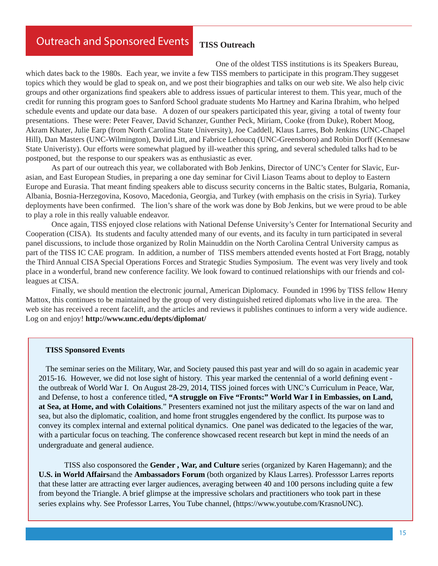# Outreach and Sponsored Events

# **TISS Outreach**

 One of the oldest TISS institutions is its Speakers Bureau, which dates back to the 1980s. Each year, we invite a few TISS members to participate in this program.They suggeset topics which they would be glad to speak on, and we post their biographies and talks on our web site. We also help civic groups and other organizations find speakers able to address issues of particular interest to them. This year, much of the credit for running this program goes to Sanford School graduate students Mo Hartney and Karina Ibrahim, who helped schedule events and update our data base. A dozen of our speakers participated this year, giving a total of twenty four presentations. These were: Peter Feaver, David Schanzer, Gunther Peck, Miriam, Cooke (from Duke), Robert Moog, Akram Khater, Julie Earp (from North Carolina State University), Joe Caddell, Klaus Larres, Bob Jenkins (UNC-Chapel Hill), Dan Masters (UNC-Wilmington), David Litt, and Fabrice Lehoucq (UNC-Greensboro) and Robin Dorff (Kennesaw State Univeristy). Our efforts were somewhat plagued by ill-weather this spring, and several scheduled talks had to be postponed, but the response to our speakers was as enthusiastic as ever.

 As part of our outreach this year, we collaborated with Bob Jenkins, Director of UNC's Center for Slavic, Eurasian, and East European Studies, in preparing a one day seminar for Civil Liason Teams about to deploy to Eastern Europe and Eurasia. That meant finding speakers able to discuss security concerns in the Baltic states, Bulgaria, Romania, Albania, Bosnia-Herzegovina, Kosovo, Macedonia, Georgia, and Turkey (with emphasis on the crisis in Syria). Turkey deployments have been confirmed. The lion's share of the work was done by Bob Jenkins, but we were proud to be able to play a role in this really valuable endeavor.

 Once again, TISS enjoyed close relations with National Defense University's Center for International Security and Cooperation (CISA). Its students and faculty attended many of our events, and its faculty in turn participated in several panel discussions, to include those organized by Rolin Mainuddin on the North Carolina Central University campus as part of the TISS IC CAE program. In addition, a number of TISS members attended events hosted at Fort Bragg, notably the Third Annual CISA Special Operations Forces and Strategic Studies Symposium. The event was very lively and took place in a wonderful, brand new conference facility. We look foward to continued relationships with our friends and colleagues at CISA.

 Finally, we should mention the electronic journal, American Diplomacy. Founded in 1996 by TISS fellow Henry Mattox, this continues to be maintained by the group of very distinguished retired diplomats who live in the area. The web site has received a recent facelift, and the articles and reviews it publishes continues to inform a very wide audience. Log on and enjoy! **http://www.unc.edu/depts/diplomat/**

#### **TISS Sponsored Events**

The seminar series on the Military, War, and Society paused this past year and will do so again in academic year 2015-16. However, we did not lose sight of history. This year marked the centennial of a world defining eventthe outbreak of World War I. On August 28-29, 2014, TISS joined forces with UNC's Curriculum in Peace, War, and Defense, to host a conference titled, **"A struggle on Five "Fronts:" World War I in Embassies, on Land, at Sea, at Home, and with Colaitions**." Presenters examined not just the military aspects of the war on land and sea, but also the diplomatic, coalition, and home front struggles engendered by the conflict. Its purpose was to convey its complex internal and external political dynamics. One panel was dedicated to the legacies of the war, with a particular focus on teaching. The conference showcased recent research but kept in mind the needs of an undergraduate and general audience.

 TISS also cosponsored the **Gender , War, and Culture** series (organized by Karen Hagemann); and the **U.S. in World Affairs**and the **Ambassadors Forum** (both organized by Klaus Larres). Professsor Larres reports that these latter are attracting ever larger audiences, averaging between 40 and 100 persons including quite a few from beyond the Triangle. A brief glimpse at the impressive scholars and practitioners who took part in these series explains why. See Professor Larres, You Tube channel, (https://www.youtube.com/KrasnoUNC).